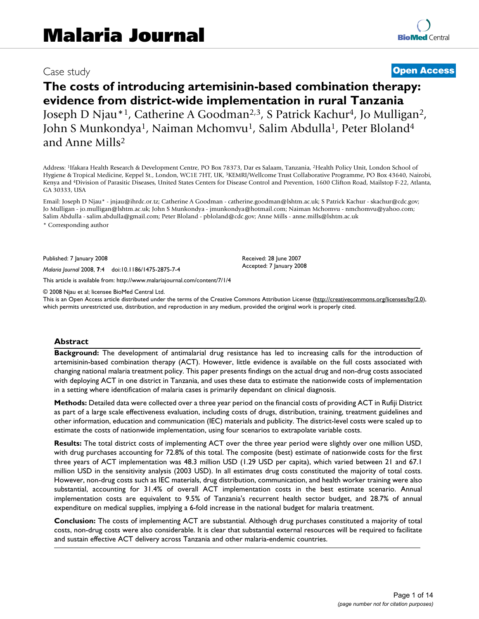# Case study **[Open Access](http://www.biomedcentral.com/info/about/charter/)**

# **The costs of introducing artemisinin-based combination therapy: evidence from district-wide implementation in rural Tanzania** Joseph D Njau\*1, Catherine A Goodman2,3, S Patrick Kachur4, Jo Mulligan2, John S Munkondya<sup>1</sup>, Naiman Mchomvu<sup>1</sup>, Salim Abdulla<sup>1</sup>, Peter Bloland<sup>4</sup> and Anne Mills2

Address: 1Ifakara Health Research & Development Centre, PO Box 78373, Dar es Salaam, Tanzania, 2Health Policy Unit, London School of Hygiene & Tropical Medicine, Keppel St., London, WC1E 7HT, UK, 3KEMRI/Wellcome Trust Collaborative Programme, PO Box 43640, Nairobi, Kenya and 4Division of Parasitic Diseases, United States Centers for Disease Control and Prevention, 1600 Clifton Road, Mailstop F-22, Atlanta, GA 30333, USA

Email: Joseph D Njau\* - jnjau@ihrdc.or.tz; Catherine A Goodman - catherine.goodman@lshtm.ac.uk; S Patrick Kachur - skachur@cdc.gov; Jo Mulligan - jo.mulligan@lshtm.ac.uk; John S Munkondya - jmunkondya@hotmail.com; Naiman Mchomvu - nmchomvu@yahoo.com; Salim Abdulla - salim.abdulla@gmail.com; Peter Bloland - pbloland@cdc.gov; Anne Mills - anne.mills@lshtm.ac.uk \* Corresponding author

Published: 7 January 2008

*Malaria Journal* 2008, **7**:4 doi:10.1186/1475-2875-7-4

[This article is available from: http://www.malariajournal.com/content/7/1/4](http://www.malariajournal.com/content/7/1/4)

© 2008 Njau et al; licensee BioMed Central Ltd.

This is an Open Access article distributed under the terms of the Creative Commons Attribution License [\(http://creativecommons.org/licenses/by/2.0\)](http://creativecommons.org/licenses/by/2.0), which permits unrestricted use, distribution, and reproduction in any medium, provided the original work is properly cited.

Received: 28 June 2007 Accepted: 7 January 2008

#### **Abstract**

**Background:** The development of antimalarial drug resistance has led to increasing calls for the introduction of artemisinin-based combination therapy (ACT). However, little evidence is available on the full costs associated with changing national malaria treatment policy. This paper presents findings on the actual drug and non-drug costs associated with deploying ACT in one district in Tanzania, and uses these data to estimate the nationwide costs of implementation in a setting where identification of malaria cases is primarily dependant on clinical diagnosis.

**Methods:** Detailed data were collected over a three year period on the financial costs of providing ACT in Rufiji District as part of a large scale effectiveness evaluation, including costs of drugs, distribution, training, treatment guidelines and other information, education and communication (IEC) materials and publicity. The district-level costs were scaled up to estimate the costs of nationwide implementation, using four scenarios to extrapolate variable costs.

**Results:** The total district costs of implementing ACT over the three year period were slightly over one million USD, with drug purchases accounting for 72.8% of this total. The composite (best) estimate of nationwide costs for the first three years of ACT implementation was 48.3 million USD (1.29 USD per capita), which varied between 21 and 67.1 million USD in the sensitivity analysis (2003 USD). In all estimates drug costs constituted the majority of total costs. However, non-drug costs such as IEC materials, drug distribution, communication, and health worker training were also substantial, accounting for 31.4% of overall ACT implementation costs in the best estimate scenario. Annual implementation costs are equivalent to 9.5% of Tanzania's recurrent health sector budget, and 28.7% of annual expenditure on medical supplies, implying a 6-fold increase in the national budget for malaria treatment.

**Conclusion:** The costs of implementing ACT are substantial. Although drug purchases constituted a majority of total costs, non-drug costs were also considerable. It is clear that substantial external resources will be required to facilitate and sustain effective ACT delivery across Tanzania and other malaria-endemic countries.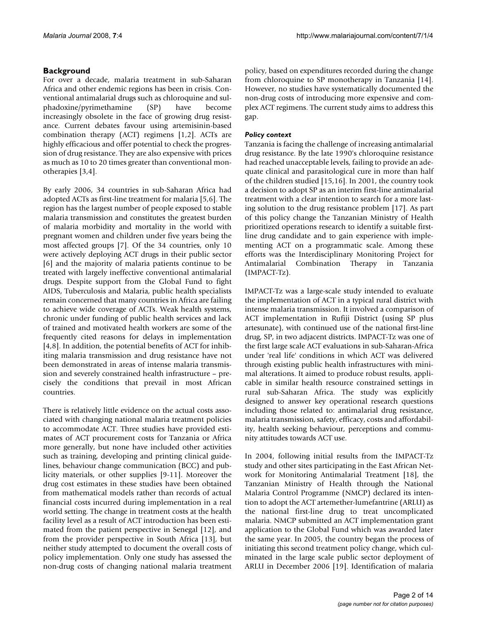# **Background**

For over a decade, malaria treatment in sub-Saharan Africa and other endemic regions has been in crisis. Conventional antimalarial drugs such as chloroquine and sulphadoxine/pyrimethamine (SP) have become increasingly obsolete in the face of growing drug resistance. Current debates favour using artemisinin-based combination therapy (ACT) regimens [1,2]. ACTs are highly efficacious and offer potential to check the progression of drug resistance. They are also expensive with prices as much as 10 to 20 times greater than conventional monotherapies [3,4].

By early 2006, 34 countries in sub-Saharan Africa had adopted ACTs as first-line treatment for malaria [5,6]. The region has the largest number of people exposed to stable malaria transmission and constitutes the greatest burden of malaria morbidity and mortality in the world with pregnant women and children under five years being the most affected groups [7]. Of the 34 countries, only 10 were actively deploying ACT drugs in their public sector [6] and the majority of malaria patients continue to be treated with largely ineffective conventional antimalarial drugs. Despite support from the Global Fund to fight AIDS, Tuberculosis and Malaria, public health specialists remain concerned that many countries in Africa are failing to achieve wide coverage of ACTs. Weak health systems, chronic under funding of public health services and lack of trained and motivated health workers are some of the frequently cited reasons for delays in implementation [4,8]. In addition, the potential benefits of ACT for inhibiting malaria transmission and drug resistance have not been demonstrated in areas of intense malaria transmission and severely constrained health infrastructure – precisely the conditions that prevail in most African countries.

There is relatively little evidence on the actual costs associated with changing national malaria treatment policies to accommodate ACT. Three studies have provided estimates of ACT procurement costs for Tanzania or Africa more generally, but none have included other activities such as training, developing and printing clinical guidelines, behaviour change communication (BCC) and publicity materials, or other supplies [9-11]. Moreover the drug cost estimates in these studies have been obtained from mathematical models rather than records of actual financial costs incurred during implementation in a real world setting. The change in treatment costs at the health facility level as a result of ACT introduction has been estimated from the patient perspective in Senegal [12], and from the provider perspective in South Africa [13], but neither study attempted to document the overall costs of policy implementation. Only one study has assessed the non-drug costs of changing national malaria treatment

policy, based on expenditures recorded during the change from chloroquine to SP monotherapy in Tanzania [14]. However, no studies have systematically documented the non-drug costs of introducing more expensive and complex ACT regimens. The current study aims to address this gap.

### *Policy context*

Tanzania is facing the challenge of increasing antimalarial drug resistance. By the late 1990's chloroquine resistance had reached unacceptable levels, failing to provide an adequate clinical and parasitological cure in more than half of the children studied [15,16]. In 2001, the country took a decision to adopt SP as an interim first-line antimalarial treatment with a clear intention to search for a more lasting solution to the drug resistance problem [17]. As part of this policy change the Tanzanian Ministry of Health prioritized operations research to identify a suitable firstline drug candidate and to gain experience with implementing ACT on a programmatic scale. Among these efforts was the Interdisciplinary Monitoring Project for Antimalarial Combination Therapy in Tanzania (IMPACT-Tz).

IMPACT-Tz was a large-scale study intended to evaluate the implementation of ACT in a typical rural district with intense malaria transmission. It involved a comparison of ACT implementation in Rufiji District (using SP plus artesunate), with continued use of the national first-line drug, SP, in two adjacent districts. IMPACT-Tz was one of the first large scale ACT evaluations in sub-Saharan-Africa under 'real life' conditions in which ACT was delivered through existing public health infrastructures with minimal alterations. It aimed to produce robust results, applicable in similar health resource constrained settings in rural sub-Saharan Africa. The study was explicitly designed to answer key operational research questions including those related to: antimalarial drug resistance, malaria transmission, safety, efficacy, costs and affordability, health seeking behaviour, perceptions and community attitudes towards ACT use.

In 2004, following initial results from the IMPACT-Tz study and other sites participating in the East African Network for Monitoring Antimalarial Treatment [18], the Tanzanian Ministry of Health through the National Malaria Control Programme (NMCP) declared its intention to adopt the ACT artemether-lumefantrine (ARLU) as the national first-line drug to treat uncomplicated malaria. NMCP submitted an ACT implementation grant application to the Global Fund which was awarded later the same year. In 2005, the country began the process of initiating this second treatment policy change, which culminated in the large scale public sector deployment of ARLU in December 2006 [19]. Identification of malaria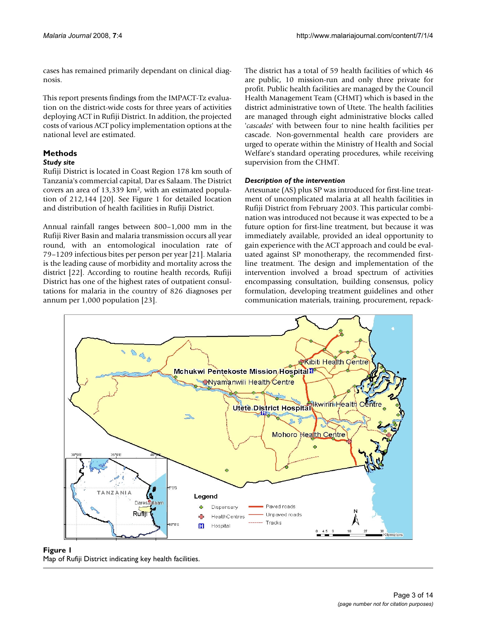cases has remained primarily dependant on clinical diagnosis.

This report presents findings from the IMPACT-Tz evaluation on the district-wide costs for three years of activities deploying ACT in Rufiji District. In addition, the projected costs of various ACT policy implementation options at the national level are estimated.

# **Methods**

# *Study site*

Rufiji District is located in Coast Region 178 km south of Tanzania's commercial capital, Dar es Salaam. The District covers an area of 13,339 km2, with an estimated population of 212,144 [20]. See Figure 1 for detailed location and distribution of health facilities in Rufiji District.

Annual rainfall ranges between 800–1,000 mm in the Rufiji River Basin and malaria transmission occurs all year round, with an entomological inoculation rate of 79–1209 infectious bites per person per year [21]. Malaria is the leading cause of morbidity and mortality across the district [22]. According to routine health records, Rufiji District has one of the highest rates of outpatient consultations for malaria in the country of 826 diagnoses per annum per 1,000 population [23].

The district has a total of 59 health facilities of which 46 are public, 10 mission-run and only three private for profit. Public health facilities are managed by the Council Health Management Team (CHMT) which is based in the district administrative town of Utete. The health facilities are managed through eight administrative blocks called '*cascades*' with between four to nine health facilities per cascade. Non-governmental health care providers are urged to operate within the Ministry of Health and Social Welfare's standard operating procedures, while receiving supervision from the CHMT.

# *Description of the intervention*

Artesunate (AS) plus SP was introduced for first-line treatment of uncomplicated malaria at all health facilities in Rufiji District from February 2003. This particular combination was introduced not because it was expected to be a future option for first-line treatment, but because it was immediately available, provided an ideal opportunity to gain experience with the ACT approach and could be evaluated against SP monotherapy, the recommended firstline treatment. The design and implementation of the intervention involved a broad spectrum of activities encompassing consultation, building consensus, policy formulation, developing treatment guidelines and other communication materials, training, procurement, repack-



Figure 1 Map of Rufiji District indicating key health facilities.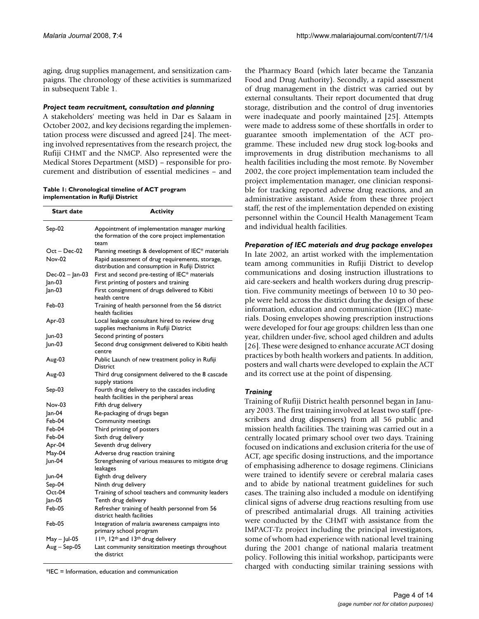aging, drug supplies management, and sensitization campaigns. The chronology of these activities is summarized in subsequent Table 1.

#### *Project team recruitment, consultation and planning*

A stakeholders' meeting was held in Dar es Salaam in October 2002, and key decisions regarding the implementation process were discussed and agreed [24]. The meeting involved representatives from the research project, the Rufiji CHMT and the NMCP. Also represented were the Medical Stores Department (MSD) – responsible for procurement and distribution of essential medicines – and

**Table 1: Chronological timeline of ACT program implementation in Rufiji District**

| <b>Start date</b> | <b>Activity</b>                                                                                           |  |  |  |  |
|-------------------|-----------------------------------------------------------------------------------------------------------|--|--|--|--|
| Sep-02            | Appointment of implementation manager marking<br>the formation of the core project implementation<br>team |  |  |  |  |
| Oct – Dec-02      | Planning meetings & development of IEC* materials                                                         |  |  |  |  |
| Nov-02            | Rapid assessment of drug requirements, storage,<br>distribution and consumption in Rufiji District        |  |  |  |  |
| Dec-02 – Jan-03   | First and second pre-testing of IEC* materials                                                            |  |  |  |  |
| Jan-03            | First printing of posters and training                                                                    |  |  |  |  |
| Jan-03            | First consignment of drugs delivered to Kibiti<br>health centre                                           |  |  |  |  |
| Feb-03            | Training of health personnel from the 56 district<br>health facilities                                    |  |  |  |  |
| Apr-03            | Local leakage consultant hired to review drug<br>supplies mechanisms in Rufiji District                   |  |  |  |  |
| Jun-03            | Second printing of posters                                                                                |  |  |  |  |
| Jun-03            | Second drug consignment delivered to Kibiti health<br>centre                                              |  |  |  |  |
| Aug-03            | Public Launch of new treatment policy in Rufiji<br>District                                               |  |  |  |  |
| Aug-03            | Third drug consignment delivered to the 8 cascade<br>supply stations                                      |  |  |  |  |
| Sep-03            | Fourth drug delivery to the cascades including<br>health facilities in the peripheral areas               |  |  |  |  |
| Nov-03            | Fifth drug delivery                                                                                       |  |  |  |  |
| Jan-04            | Re-packaging of drugs began                                                                               |  |  |  |  |
| Feb-04            | Community meetings                                                                                        |  |  |  |  |
| Feb-04            | Third printing of posters                                                                                 |  |  |  |  |
| Feb-04            | Sixth drug delivery                                                                                       |  |  |  |  |
| Apr-04            | Seventh drug delivery                                                                                     |  |  |  |  |
| May-04            | Adverse drug reaction training                                                                            |  |  |  |  |
| Jun-04            | Strengthening of various measures to mitigate drug<br>leakages                                            |  |  |  |  |
| Jun-04            | Eighth drug delivery                                                                                      |  |  |  |  |
| Sep-04            | Ninth drug delivery                                                                                       |  |  |  |  |
| Oct-04            | Training of school teachers and community leaders                                                         |  |  |  |  |
| Jan-05            | Tenth drug delivery                                                                                       |  |  |  |  |
| Feb-05            | Refresher training of health personnel from 56<br>district health facilities                              |  |  |  |  |
| Feb-05            | Integration of malaria awareness campaigns into<br>primary school program                                 |  |  |  |  |
| $May - Jul-05$    | II <sup>th</sup> , 12 <sup>th</sup> and 13 <sup>th</sup> drug delivery                                    |  |  |  |  |
| $Aug - Sep-05$    | Last community sensitization meetings throughout<br>the district                                          |  |  |  |  |

\*IEC = Information, education and communication

the Pharmacy Board (which later became the Tanzania Food and Drug Authority). Secondly, a rapid assessment of drug management in the district was carried out by external consultants. Their report documented that drug storage, distribution and the control of drug inventories were inadequate and poorly maintained [25]. Attempts were made to address some of these shortfalls in order to guarantee smooth implementation of the ACT programme. These included new drug stock log-books and improvements in drug distribution mechanisms to all health facilities including the most remote. By November 2002, the core project implementation team included the project implementation manager, one clinician responsible for tracking reported adverse drug reactions, and an administrative assistant. Aside from these three project staff, the rest of the implementation depended on existing personnel within the Council Health Management Team and individual health facilities.

*Preparation of IEC materials and drug package envelopes* In late 2002, an artist worked with the implementation team among communities in Rufiji District to develop communications and dosing instruction illustrations to aid care-seekers and health workers during drug prescription. Five community meetings of between 10 to 30 people were held across the district during the design of these information, education and communication (IEC) materials. Dosing envelopes showing prescription instructions were developed for four age groups: children less than one year, children under-five, school aged children and adults [26]. These were designed to enhance accurate ACT dosing practices by both health workers and patients. In addition, posters and wall charts were developed to explain the ACT and its correct use at the point of dispensing.

#### *Training*

Training of Rufiji District health personnel began in January 2003. The first training involved at least two staff (prescribers and drug dispensers) from all 56 public and mission health facilities. The training was carried out in a centrally located primary school over two days. Training focused on indications and exclusion criteria for the use of ACT, age specific dosing instructions, and the importance of emphasising adherence to dosage regimens. Clinicians were trained to identify severe or cerebral malaria cases and to abide by national treatment guidelines for such cases. The training also included a module on identifying clinical signs of adverse drug reactions resulting from use of prescribed antimalarial drugs. All training activities were conducted by the CHMT with assistance from the IMPACT-Tz project including the principal investigators, some of whom had experience with national level training during the 2001 change of national malaria treatment policy. Following this initial workshop, participants were charged with conducting similar training sessions with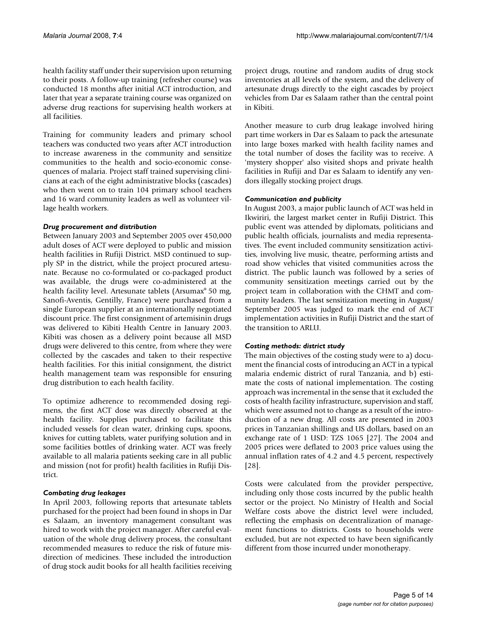health facility staff under their supervision upon returning to their posts. A follow-up training (refresher course) was conducted 18 months after initial ACT introduction, and later that year a separate training course was organized on adverse drug reactions for supervising health workers at all facilities.

Training for community leaders and primary school teachers was conducted two years after ACT introduction to increase awareness in the community and sensitize communities to the health and socio-economic consequences of malaria. Project staff trained supervising clinicians at each of the eight administrative blocks (cascades) who then went on to train 104 primary school teachers and 16 ward community leaders as well as volunteer village health workers.

#### *Drug procurement and distribution*

Between January 2003 and September 2005 over 450,000 adult doses of ACT were deployed to public and mission health facilities in Rufiji District. MSD continued to supply SP in the district, while the project procured artesunate. Because no co-formulated or co-packaged product was available, the drugs were co-administered at the health facility level. Artesunate tablets (Arsumax® 50 mg, Sanofi-Aventis, Gentilly, France) were purchased from a single European supplier at an internationally negotiated discount price. The first consignment of artemisinin drugs was delivered to Kibiti Health Centre in January 2003. Kibiti was chosen as a delivery point because all MSD drugs were delivered to this centre, from where they were collected by the cascades and taken to their respective health facilities. For this initial consignment, the district health management team was responsible for ensuring drug distribution to each health facility.

To optimize adherence to recommended dosing regimens, the first ACT dose was directly observed at the health facility. Supplies purchased to facilitate this included vessels for clean water, drinking cups, spoons, knives for cutting tablets, water purifying solution and in some facilities bottles of drinking water. ACT was freely available to all malaria patients seeking care in all public and mission (not for profit) health facilities in Rufiji District.

#### *Combating drug leakages*

In April 2003, following reports that artesunate tablets purchased for the project had been found in shops in Dar es Salaam, an inventory management consultant was hired to work with the project manager. After careful evaluation of the whole drug delivery process, the consultant recommended measures to reduce the risk of future misdirection of medicines. These included the introduction of drug stock audit books for all health facilities receiving project drugs, routine and random audits of drug stock inventories at all levels of the system, and the delivery of artesunate drugs directly to the eight cascades by project vehicles from Dar es Salaam rather than the central point in Kibiti.

Another measure to curb drug leakage involved hiring part time workers in Dar es Salaam to pack the artesunate into large boxes marked with health facility names and the total number of doses the facility was to receive. A 'mystery shopper' also visited shops and private health facilities in Rufiji and Dar es Salaam to identify any vendors illegally stocking project drugs.

#### *Communication and publicity*

In August 2003, a major public launch of ACT was held in Ikwiriri, the largest market center in Rufiji District. This public event was attended by diplomats, politicians and public health officials, journalists and media representatives. The event included community sensitization activities, involving live music, theatre, performing artists and road show vehicles that visited communities across the district. The public launch was followed by a series of community sensitization meetings carried out by the project team in collaboration with the CHMT and community leaders. The last sensitization meeting in August/ September 2005 was judged to mark the end of ACT implementation activities in Rufiji District and the start of the transition to ARLU.

#### *Costing methods: district study*

The main objectives of the costing study were to a) document the financial costs of introducing an ACT in a typical malaria endemic district of rural Tanzania, and b) estimate the costs of national implementation. The costing approach was incremental in the sense that it excluded the costs of health facility infrastructure, supervision and staff, which were assumed not to change as a result of the introduction of a new drug. All costs are presented in 2003 prices in Tanzanian shillings and US dollars, based on an exchange rate of 1 USD: TZS 1065 [27]. The 2004 and 2005 prices were deflated to 2003 price values using the annual inflation rates of 4.2 and 4.5 percent, respectively [28].

Costs were calculated from the provider perspective, including only those costs incurred by the public health sector or the project. No Ministry of Health and Social Welfare costs above the district level were included, reflecting the emphasis on decentralization of management functions to districts. Costs to households were excluded, but are not expected to have been significantly different from those incurred under monotherapy.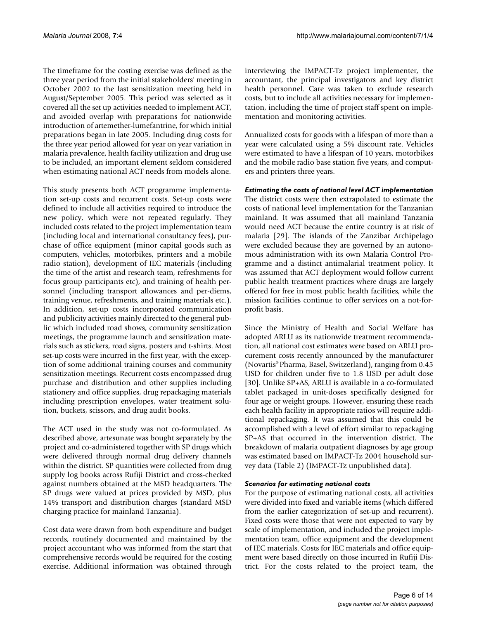The timeframe for the costing exercise was defined as the three year period from the initial stakeholders' meeting in October 2002 to the last sensitization meeting held in August/September 2005. This period was selected as it covered all the set up activities needed to implement ACT, and avoided overlap with preparations for nationwide introduction of artemether-lumefantrine, for which initial preparations began in late 2005. Including drug costs for the three year period allowed for year on year variation in malaria prevalence, health facility utilization and drug use to be included, an important element seldom considered when estimating national ACT needs from models alone.

This study presents both ACT programme implementation set-up costs and recurrent costs. Set-up costs were defined to include all activities required to introduce the new policy, which were not repeated regularly. They included costs related to the project implementation team (including local and international consultancy fees), purchase of office equipment (minor capital goods such as computers, vehicles, motorbikes, printers and a mobile radio station), development of IEC materials (including the time of the artist and research team, refreshments for focus group participants etc), and training of health personnel (including transport allowances and per-diems, training venue, refreshments, and training materials etc.). In addition, set-up costs incorporated communication and publicity activities mainly directed to the general public which included road shows, community sensitization meetings, the programme launch and sensitization materials such as stickers, road signs, posters and t-shirts. Most set-up costs were incurred in the first year, with the exception of some additional training courses and community sensitization meetings. Recurrent costs encompassed drug purchase and distribution and other supplies including stationery and office supplies, drug repackaging materials including prescription envelopes, water treatment solution, buckets, scissors, and drug audit books.

The ACT used in the study was not co-formulated. As described above, artesunate was bought separately by the project and co-administered together with SP drugs which were delivered through normal drug delivery channels within the district. SP quantities were collected from drug supply log books across Rufiji District and cross-checked against numbers obtained at the MSD headquarters. The SP drugs were valued at prices provided by MSD, plus 14% transport and distribution charges (standard MSD charging practice for mainland Tanzania).

Cost data were drawn from both expenditure and budget records, routinely documented and maintained by the project accountant who was informed from the start that comprehensive records would be required for the costing exercise. Additional information was obtained through

interviewing the IMPACT-Tz project implementer, the accountant, the principal investigators and key district health personnel. Care was taken to exclude research costs, but to include all activities necessary for implementation, including the time of project staff spent on implementation and monitoring activities.

Annualized costs for goods with a lifespan of more than a year were calculated using a 5% discount rate. Vehicles were estimated to have a lifespan of 10 years, motorbikes and the mobile radio base station five years, and computers and printers three years.

*Estimating the costs of national level ACT implementation* The district costs were then extrapolated to estimate the costs of national level implementation for the Tanzanian mainland. It was assumed that all mainland Tanzania would need ACT because the entire country is at risk of malaria [29]. The islands of the Zanzibar Archipelago were excluded because they are governed by an autonomous administration with its own Malaria Control Programme and a distinct antimalarial treatment policy. It was assumed that ACT deployment would follow current public health treatment practices where drugs are largely offered for free in most public health facilities, while the mission facilities continue to offer services on a not-forprofit basis.

Since the Ministry of Health and Social Welfare has adopted ARLU as its nationwide treatment recommendation, all national cost estimates were based on ARLU procurement costs recently announced by the manufacturer (Novartis® Pharma, Basel, Switzerland), ranging from 0.45 USD for children under five to 1.8 USD per adult dose [30]. Unlike SP+AS, ARLU is available in a co-formulated tablet packaged in unit-doses specifically designed for four age or weight groups. However, ensuring these reach each health facility in appropriate ratios will require additional repackaging. It was assumed that this could be accomplished with a level of effort similar to repackaging SP+AS that occurred in the intervention district. The breakdown of malaria outpatient diagnoses by age group was estimated based on IMPACT-Tz 2004 household survey data (Table 2) (IMPACT-Tz unpublished data).

# *Scenarios for estimating national costs*

For the purpose of estimating national costs, all activities were divided into fixed and variable items (which differed from the earlier categorization of set-up and recurrent). Fixed costs were those that were not expected to vary by scale of implementation, and included the project implementation team, office equipment and the development of IEC materials. Costs for IEC materials and office equipment were based directly on those incurred in Rufiji District. For the costs related to the project team, the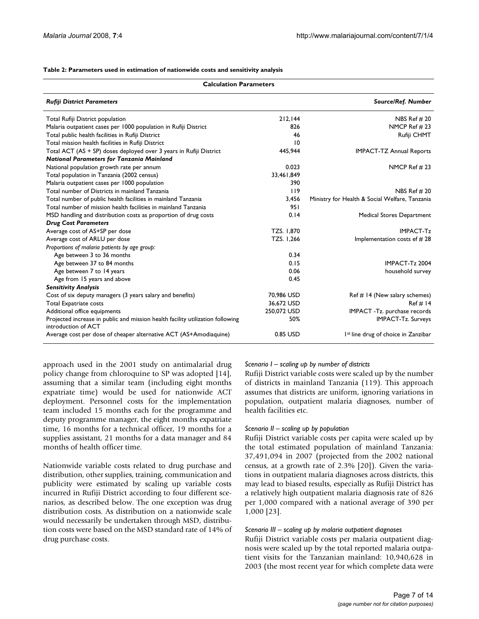#### **Table 2: Parameters used in estimation of nationwide costs and sensitivity analysis**

| <b>Calculation Parameters</b>                                                                         |             |                                                 |  |  |  |
|-------------------------------------------------------------------------------------------------------|-------------|-------------------------------------------------|--|--|--|
| <b>Rufiji District Parameters</b>                                                                     |             | Source/Ref. Number                              |  |  |  |
| Total Rufiji District population                                                                      | 212,144     | <b>NBS Ref #20</b>                              |  |  |  |
| Malaria outpatient cases per 1000 population in Rufiji District                                       | 826         | NMCP Ref #23                                    |  |  |  |
| Total public health facilities in Rufiji District                                                     | 46          | Rufiji CHMT                                     |  |  |  |
| Total mission health facilities in Rufiji District                                                    | 10          |                                                 |  |  |  |
| Total ACT (AS + SP) doses deployed over 3 years in Rufiji District                                    | 445,944     | <b>IMPACT-TZ Annual Reports</b>                 |  |  |  |
| <b>National Parameters for Tanzania Mainland</b>                                                      |             |                                                 |  |  |  |
| National population growth rate per annum                                                             | 0.023       | NMCP Ref #23                                    |  |  |  |
| Total population in Tanzania (2002 census)                                                            | 33.461.849  |                                                 |  |  |  |
| Malaria outpatient cases per 1000 population                                                          | 390         |                                                 |  |  |  |
| Total number of Districts in mainland Tanzania                                                        | 119         | <b>NBS Ref #20</b>                              |  |  |  |
| Total number of public health facilities in mainland Tanzania                                         | 3,456       | Ministry for Health & Social Welfare, Tanzania  |  |  |  |
| Total number of mission health facilities in mainland Tanzania                                        | 951         |                                                 |  |  |  |
| MSD handling and distribution costs as proportion of drug costs                                       | 0.14        | <b>Medical Stores Department</b>                |  |  |  |
| <b>Drug Cost Parameters</b>                                                                           |             |                                                 |  |  |  |
| Average cost of AS+SP per dose                                                                        | TZS. 1,870  | <b>IMPACT-Tz</b>                                |  |  |  |
| Average cost of ARLU per dose                                                                         | TZS. 1,266  | Implementation costs ef #28                     |  |  |  |
| Proportions of malaria patients by age group:                                                         |             |                                                 |  |  |  |
| Age between 3 to 36 months                                                                            | 0.34        |                                                 |  |  |  |
| Age between 37 to 84 months                                                                           | 0.15        | IMPACT-Tz 2004                                  |  |  |  |
| Age between 7 to 14 years                                                                             | 0.06        | household survey                                |  |  |  |
| Age from 15 years and above                                                                           | 0.45        |                                                 |  |  |  |
| <b>Sensitivity Analysis</b>                                                                           |             |                                                 |  |  |  |
| Cost of six deputy managers (3 years salary and benefits)                                             | 70,986 USD  | Ref # 14 (New salary schemes)                   |  |  |  |
| <b>Total Expatriate costs</b>                                                                         | 36,672 USD  | Ref#14                                          |  |  |  |
| Additional office equipments                                                                          | 250,072 USD | IMPACT -Tz. purchase records                    |  |  |  |
| Projected increase in public and mission health facility utilization following<br>introduction of ACT | 50%         | <b>IMPACT-Tz. Surveys</b>                       |  |  |  |
| Average cost per dose of cheaper alternative ACT (AS+Amodiaquine)                                     | 0.85 USD    | 1 <sup>st</sup> line drug of choice in Zanzibar |  |  |  |

approach used in the 2001 study on antimalarial drug policy change from chloroquine to SP was adopted [14], assuming that a similar team (including eight months expatriate time) would be used for nationwide ACT deployment. Personnel costs for the implementation team included 15 months each for the programme and deputy programme manager, the eight months expatriate time, 16 months for a technical officer, 19 months for a supplies assistant, 21 months for a data manager and 84 months of health officer time.

Nationwide variable costs related to drug purchase and distribution, other supplies, training, communication and publicity were estimated by scaling up variable costs incurred in Rufiji District according to four different scenarios, as described below. The one exception was drug distribution costs. As distribution on a nationwide scale would necessarily be undertaken through MSD, distribution costs were based on the MSD standard rate of 14% of drug purchase costs.

#### *Scenario I – scaling up by number of districts*

Rufiji District variable costs were scaled up by the number of districts in mainland Tanzania (119). This approach assumes that districts are uniform, ignoring variations in population, outpatient malaria diagnoses, number of health facilities etc.

#### *Scenario II – scaling up by population*

Rufiji District variable costs per capita were scaled up by the total estimated population of mainland Tanzania: 37,491,094 in 2007 (projected from the 2002 national census, at a growth rate of 2.3% [20]). Given the variations in outpatient malaria diagnoses across districts, this may lead to biased results, especially as Rufiji District has a relatively high outpatient malaria diagnosis rate of 826 per 1,000 compared with a national average of 390 per 1,000 [23].

#### *Scenario III – scaling up by malaria outpatient diagnoses*

Rufiji District variable costs per malaria outpatient diagnosis were scaled up by the total reported malaria outpatient visits for the Tanzanian mainland: 10,940,628 in 2003 (the most recent year for which complete data were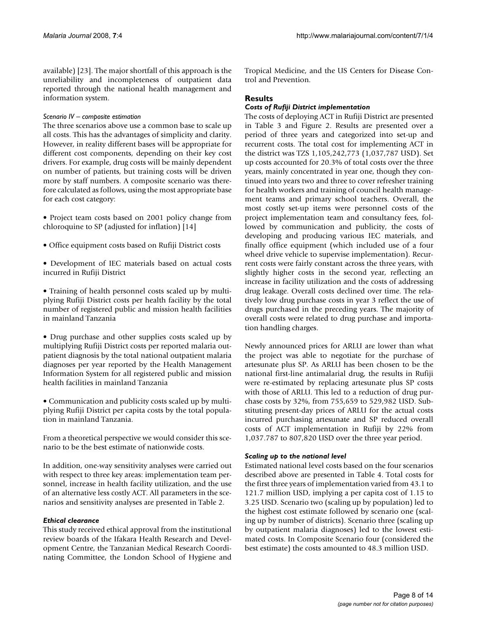available) [23]. The major shortfall of this approach is the unreliability and incompleteness of outpatient data reported through the national health management and information system.

#### *Scenario IV – composite estimation*

The three scenarios above use a common base to scale up all costs. This has the advantages of simplicity and clarity. However, in reality different bases will be appropriate for different cost components, depending on their key cost drivers. For example, drug costs will be mainly dependent on number of patients, but training costs will be driven more by staff numbers. A composite scenario was therefore calculated as follows, using the most appropriate base for each cost category:

- Project team costs based on 2001 policy change from chloroquine to SP (adjusted for inflation) [14]
- Office equipment costs based on Rufiji District costs
- Development of IEC materials based on actual costs incurred in Rufiji District
- Training of health personnel costs scaled up by multiplying Rufiji District costs per health facility by the total number of registered public and mission health facilities in mainland Tanzania

• Drug purchase and other supplies costs scaled up by multiplying Rufiji District costs per reported malaria outpatient diagnosis by the total national outpatient malaria diagnoses per year reported by the Health Management Information System for all registered public and mission health facilities in mainland Tanzania

• Communication and publicity costs scaled up by multiplying Rufiji District per capita costs by the total population in mainland Tanzania.

From a theoretical perspective we would consider this scenario to be the best estimate of nationwide costs.

In addition, one-way sensitivity analyses were carried out with respect to three key areas: implementation team personnel, increase in health facility utilization, and the use of an alternative less costly ACT. All parameters in the scenarios and sensitivity analyses are presented in Table 2.

# *Ethical clearance*

This study received ethical approval from the institutional review boards of the Ifakara Health Research and Development Centre, the Tanzanian Medical Research Coordinating Committee, the London School of Hygiene and Tropical Medicine, and the US Centers for Disease Control and Prevention.

# **Results**

# *Costs of Rufiji District implementation*

The costs of deploying ACT in Rufiji District are presented in Table 3 and Figure 2. Results are presented over a period of three years and categorized into set-up and recurrent costs. The total cost for implementing ACT in the district was TZS 1,105,242,773 (1,037,787 USD). Set up costs accounted for 20.3% of total costs over the three years, mainly concentrated in year one, though they continued into years two and three to cover refresher training for health workers and training of council health management teams and primary school teachers. Overall, the most costly set-up items were personnel costs of the project implementation team and consultancy fees, followed by communication and publicity, the costs of developing and producing various IEC materials, and finally office equipment (which included use of a four wheel drive vehicle to supervise implementation). Recurrent costs were fairly constant across the three years, with slightly higher costs in the second year, reflecting an increase in facility utilization and the costs of addressing drug leakage. Overall costs declined over time. The relatively low drug purchase costs in year 3 reflect the use of drugs purchased in the preceding years. The majority of overall costs were related to drug purchase and importation handling charges.

Newly announced prices for ARLU are lower than what the project was able to negotiate for the purchase of artesunate plus SP. As ARLU has been chosen to be the national first-line antimalarial drug, the results in Rufiji were re-estimated by replacing artesunate plus SP costs with those of ARLU. This led to a reduction of drug purchase costs by 32%, from 755,659 to 529,982 USD. Substituting present-day prices of ARLU for the actual costs incurred purchasing artesunate and SP reduced overall costs of ACT implementation in Rufiji by 22% from 1,037.787 to 807,820 USD over the three year period.

# *Scaling up to the national level*

Estimated national level costs based on the four scenarios described above are presented in Table 4. Total costs for the first three years of implementation varied from 43.1 to 121.7 million USD, implying a per capita cost of 1.15 to 3.25 USD. Scenario two (scaling up by population) led to the highest cost estimate followed by scenario one (scaling up by number of districts). Scenario three (scaling up by outpatient malaria diagnoses) led to the lowest estimated costs. In Composite Scenario four (considered the best estimate) the costs amounted to 48.3 million USD.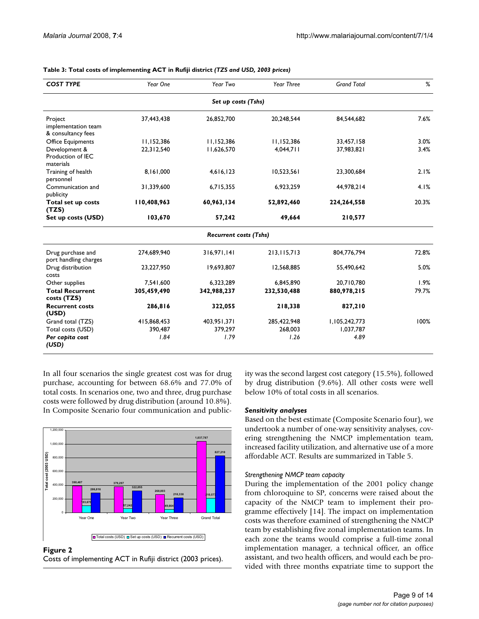| <b>COST TYPE</b>                                     | Year One    | Year Two                      | <b>Year Three</b> | <b>Grand Total</b> | %     |  |  |
|------------------------------------------------------|-------------|-------------------------------|-------------------|--------------------|-------|--|--|
| Set up costs (Tshs)                                  |             |                               |                   |                    |       |  |  |
| Project<br>implementation team<br>& consultancy fees | 37,443,438  | 26,852,700                    | 20,248,544        | 84,544,682         | 7.6%  |  |  |
| Office Equipments                                    | 11,152,386  | 11,152,386                    | 11,152,386        | 33,457,158         | 3.0%  |  |  |
| Development &<br>Production of IEC<br>materials      | 22,312,540  | 11,626,570                    | 4,044,711         | 37,983,821         | 3.4%  |  |  |
| Training of health<br>personnel                      | 8,161,000   | 4,616,123                     | 10,523,561        | 23,300,684         | 2.1%  |  |  |
| Communication and<br>publicity                       | 31,339,600  | 6,715,355                     | 6,923,259         | 44,978,214         | 4.1%  |  |  |
| Total set up costs<br>(TZS)                          | 110,408,963 | 60,963,134                    | 52,892,460        | 224,264,558        | 20.3% |  |  |
| Set up costs (USD)                                   | 103,670     | 57,242                        | 49,664            | 210,577            |       |  |  |
|                                                      |             | <b>Recurrent costs (Tshs)</b> |                   |                    |       |  |  |
| Drug purchase and<br>port handling charges           | 274,689,940 | 316,971,141                   | 213,115,713       | 804,776,794        | 72.8% |  |  |
| Drug distribution<br><b>COSTS</b>                    | 23,227,950  | 19,693,807                    | 12,568,885        | 55,490,642         | 5.0%  |  |  |
| Other supplies                                       | 7,541,600   | 6,323,289                     | 6,845,890         | 20,710,780         | 1.9%  |  |  |
| <b>Total Recurrent</b><br>costs (TZS)                | 305,459,490 | 342,988,237                   | 232,530,488       | 880,978,215        | 79.7% |  |  |
| <b>Recurrent costs</b><br>(USD)                      | 286,816     | 322,055                       | 218,338           | 827,210            |       |  |  |
| Grand total (TZS)                                    | 415,868,453 | 403,951,371                   | 285,422,948       | 1,105,242,773      | 100%  |  |  |
| Total costs (USD)                                    | 390,487     | 379,297                       | 268,003           | 1,037,787          |       |  |  |
| Per capita cost<br>(USD)                             | 1.84        | 1.79                          | 1.26              | 4.89               |       |  |  |

#### **Table 3: Total costs of implementing ACT in Rufiji district** *(TZS and USD, 2003 prices)*

In all four scenarios the single greatest cost was for drug purchase, accounting for between 68.6% and 77.0% of total costs. In scenarios one, two and three, drug purchase costs were followed by drug distribution (around 10.8%). In Composite Scenario four communication and public-



Figure 2 Costs of implementing ACT in Rufiji district (2003 prices). ity was the second largest cost category (15.5%), followed by drug distribution (9.6%). All other costs were well below 10% of total costs in all scenarios.

#### *Sensitivity analyses*

Based on the best estimate (Composite Scenario four), we undertook a number of one-way sensitivity analyses, covering strengthening the NMCP implementation team, increased facility utilization, and alternative use of a more affordable ACT. Results are summarized in Table 5.

#### *Strengthening NMCP team capacity*

During the implementation of the 2001 policy change from chloroquine to SP, concerns were raised about the capacity of the NMCP team to implement their programme effectively [14]. The impact on implementation costs was therefore examined of strengthening the NMCP team by establishing five zonal implementation teams. In each zone the teams would comprise a full-time zonal implementation manager, a technical officer, an office assistant, and two health officers, and would each be provided with three months expatriate time to support the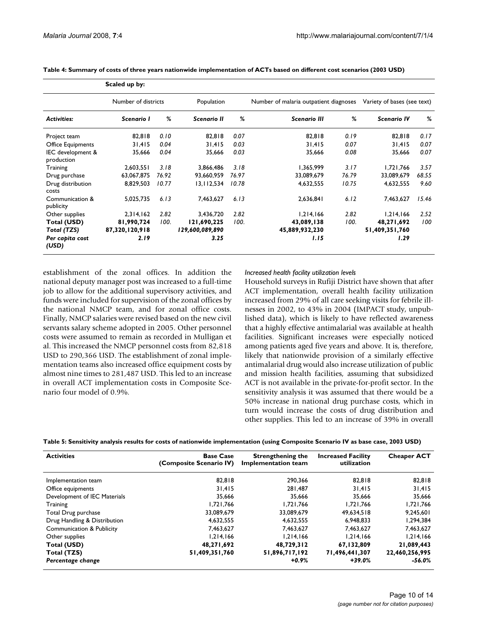|                                 | Scaled up by:  |            |                 |                                        |                |                             |                    |       |
|---------------------------------|----------------|------------|-----------------|----------------------------------------|----------------|-----------------------------|--------------------|-------|
| Number of districts             |                | Population |                 | Number of malaria outpatient diagnoses |                | Variety of bases (see text) |                    |       |
| <b>Activities:</b>              | Scenario I     | %          | Scenario II     | %                                      | Scenario III   | %                           | <b>Scenario IV</b> | %     |
| Project team                    | 82,818         | 0.10       | 82,818          | 0.07                                   | 82,818         | 0.19                        | 82,818             | 0.17  |
| Office Equipments               | 31,415         | 0.04       | 31,415          | 0.03                                   | 31,415         | 0.07                        | 31,415             | 0.07  |
| IEC development &<br>production | 35,666         | 0.04       | 35,666          | 0.03                                   | 35,666         | 0.08                        | 35,666             | 0.07  |
| Training                        | 2,603,551      | 3.18       | 3,866,486       | 3.18                                   | 1,365,999      | 3.17                        | 1,721,766          | 3.57  |
| Drug purchase                   | 63,067,875     | 76.92      | 93.660.959      | 76.97                                  | 33,089,679     | 76.79                       | 33.089.679         | 68.55 |
| Drug distribution<br>costs      | 8,829,503      | 10.77      | 13,112,534      | 10.78                                  | 4,632,555      | 10.75                       | 4,632,555          | 9.60  |
| Communication &<br>publicity    | 5,025,735      | 6.13       | 7,463,627       | 6.13                                   | 2,636,841      | 6.12                        | 7,463,627          | 15.46 |
| Other supplies                  | 2,314,162      | 2.82       | 3,436,720       | 2.82                                   | 1,214,166      | 2.82                        | 1,214,166          | 2.52  |
| Total (USD)                     | 81,990,724     | 100.       | 121,690,225     | 100.                                   | 43,089,138     | 100.                        | 48,271,692         | 100   |
| Total (TZS)                     | 87,320,120,918 |            | 129,600,089,890 |                                        | 45,889,932,230 |                             | 51,409,351,760     |       |
| Per capita cost<br>(USD)        | 2.19           |            | 3.25            |                                        | 1.15           |                             | 1.29               |       |

**Table 4: Summary of costs of three years nationwide implementation of ACTs based on different cost scenarios (2003 USD)**

establishment of the zonal offices. In addition the national deputy manager post was increased to a full-time job to allow for the additional supervisory activities, and funds were included for supervision of the zonal offices by the national NMCP team, and for zonal office costs. Finally, NMCP salaries were revised based on the new civil servants salary scheme adopted in 2005. Other personnel costs were assumed to remain as recorded in Mulligan et al. This increased the NMCP personnel costs from 82,818 USD to 290,366 USD. The establishment of zonal implementation teams also increased office equipment costs by almost nine times to 281,487 USD. This led to an increase in overall ACT implementation costs in Composite Scenario four model of 0.9%.

*Increased health facility utilization levels*

Household surveys in Rufiji District have shown that after ACT implementation, overall health facility utilization increased from 29% of all care seeking visits for febrile illnesses in 2002, to 43% in 2004 (IMPACT study, unpublished data), which is likely to have reflected awareness that a highly effective antimalarial was available at health facilities. Significant increases were especially noticed among patients aged five years and above. It is, therefore, likely that nationwide provision of a similarly effective antimalarial drug would also increase utilization of public and mission health facilities, assuming that subsidized ACT is not available in the private-for-profit sector. In the sensitivity analysis it was assumed that there would be a 50% increase in national drug purchase costs, which in turn would increase the costs of drug distribution and other supplies. This led to an increase of 39% in overall

| Table 5: Sensitivity analysis results for costs of nationwide implementation (using Composite Scenario IV as base case, 2003 USD) |  |  |
|-----------------------------------------------------------------------------------------------------------------------------------|--|--|
|                                                                                                                                   |  |  |

| <b>Activities</b>            | <b>Base Case</b><br>(Composite Scenario IV) | <b>Strengthening the</b><br><b>Implementation team</b> | <b>Increased Facility</b><br>utilization | <b>Cheaper ACT</b> |
|------------------------------|---------------------------------------------|--------------------------------------------------------|------------------------------------------|--------------------|
| Implementation team          | 82,818                                      | 290.366                                                | 82,818                                   | 82,818             |
| Office equipments            | 31.415                                      | 281.487                                                | 31,415                                   | 31,415             |
| Development of IEC Materials | 35.666                                      | 35,666                                                 | 35,666                                   | 35.666             |
| Training                     | 1.721.766                                   | 1.721.766                                              | 1.721.766                                | 1,721,766          |
| Total Drug purchase          | 33,089,679                                  | 33,089,679                                             | 49,634,518                               | 9,245,601          |
| Drug Handling & Distribution | 4,632,555                                   | 4,632,555                                              | 6,948,833                                | 1,294,384          |
| Communication & Publicity    | 7,463,627                                   | 7,463,627                                              | 7,463,627                                | 7,463,627          |
| Other supplies               | 1,214,166                                   | 1.214.166                                              | 1.214.166                                | 1,214,166          |
| Total (USD)                  | 48,271,692                                  | 48,729,312                                             | 67,132,809                               | 21,089,443         |
| Total (TZS)                  | 51,409,351,760                              | 51,896,717,192                                         | 71,496,441,307                           | 22,460,256,995     |
| Percentage change            |                                             | $+0.9\%$                                               | $+39.0\%$                                | -56.0%             |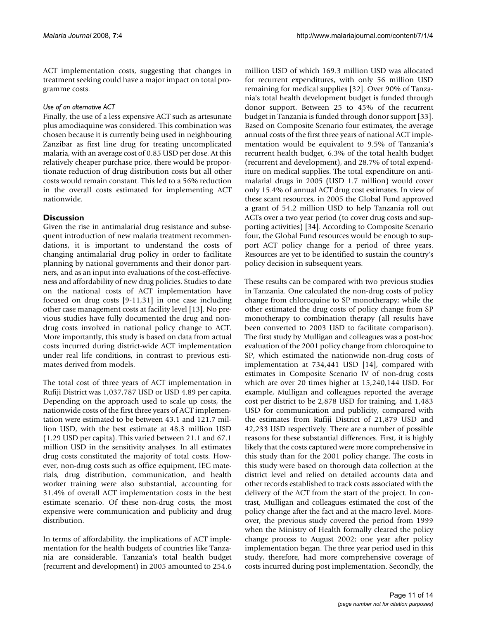ACT implementation costs, suggesting that changes in treatment seeking could have a major impact on total programme costs.

# *Use of an alternative ACT*

Finally, the use of a less expensive ACT such as artesunate plus amodiaquine was considered. This combination was chosen because it is currently being used in neighbouring Zanzibar as first line drug for treating uncomplicated malaria, with an average cost of 0.85 USD per dose. At this relatively cheaper purchase price, there would be proportionate reduction of drug distribution costs but all other costs would remain constant. This led to a 56% reduction in the overall costs estimated for implementing ACT nationwide.

# **Discussion**

Given the rise in antimalarial drug resistance and subsequent introduction of new malaria treatment recommendations, it is important to understand the costs of changing antimalarial drug policy in order to facilitate planning by national governments and their donor partners, and as an input into evaluations of the cost-effectiveness and affordability of new drug policies. Studies to date on the national costs of ACT implementation have focused on drug costs [9-11,31] in one case including other case management costs at facility level [13]. No previous studies have fully documented the drug and nondrug costs involved in national policy change to ACT. More importantly, this study is based on data from actual costs incurred during district-wide ACT implementation under real life conditions, in contrast to previous estimates derived from models.

The total cost of three years of ACT implementation in Rufiji District was 1,037,787 USD or USD 4.89 per capita. Depending on the approach used to scale up costs, the nationwide costs of the first three years of ACT implementation were estimated to be between 43.1 and 121.7 million USD, with the best estimate at 48.3 million USD (1.29 USD per capita). This varied between 21.1 and 67.1 million USD in the sensitivity analyses. In all estimates drug costs constituted the majority of total costs. However, non-drug costs such as office equipment, IEC materials, drug distribution, communication, and health worker training were also substantial, accounting for 31.4% of overall ACT implementation costs in the best estimate scenario. Of these non-drug costs, the most expensive were communication and publicity and drug distribution.

In terms of affordability, the implications of ACT implementation for the health budgets of countries like Tanzania are considerable. Tanzania's total health budget (recurrent and development) in 2005 amounted to 254.6

million USD of which 169.3 million USD was allocated for recurrent expenditures, with only 56 million USD remaining for medical supplies [32]. Over 90% of Tanzania's total health development budget is funded through donor support. Between 25 to 45% of the recurrent budget in Tanzania is funded through donor support [33]. Based on Composite Scenario four estimates, the average annual costs of the first three years of national ACT implementation would be equivalent to 9.5% of Tanzania's recurrent health budget, 6.3% of the total health budget (recurrent and development), and 28.7% of total expenditure on medical supplies. The total expenditure on antimalarial drugs in 2005 (USD 1.7 million) would cover only 15.4% of annual ACT drug cost estimates. In view of these scant resources, in 2005 the Global Fund approved a grant of 54.2 million USD to help Tanzania roll out ACTs over a two year period (to cover drug costs and supporting activities) [34]. According to Composite Scenario four, the Global Fund resources would be enough to support ACT policy change for a period of three years. Resources are yet to be identified to sustain the country's policy decision in subsequent years.

These results can be compared with two previous studies in Tanzania. One calculated the non-drug costs of policy change from chloroquine to SP monotherapy; while the other estimated the drug costs of policy change from SP monotherapy to combination therapy (all results have been converted to 2003 USD to facilitate comparison). The first study by Mulligan and colleagues was a post-hoc evaluation of the 2001 policy change from chloroquine to SP, which estimated the nationwide non-drug costs of implementation at 734,441 USD [14], compared with estimates in Composite Scenario IV of non-drug costs which are over 20 times higher at 15,240,144 USD. For example, Mulligan and colleagues reported the average cost per district to be 2,878 USD for training, and 1,483 USD for communication and publicity, compared with the estimates from Rufiji District of 21,879 USD and 42,233 USD respectively. There are a number of possible reasons for these substantial differences. First, it is highly likely that the costs captured were more comprehensive in this study than for the 2001 policy change. The costs in this study were based on thorough data collection at the district level and relied on detailed accounts data and other records established to track costs associated with the delivery of the ACT from the start of the project. In contrast, Mulligan and colleagues estimated the cost of the policy change after the fact and at the macro level. Moreover, the previous study covered the period from 1999 when the Ministry of Health formally cleared the policy change process to August 2002; one year after policy implementation began. The three year period used in this study, therefore, had more comprehensive coverage of costs incurred during post implementation. Secondly, the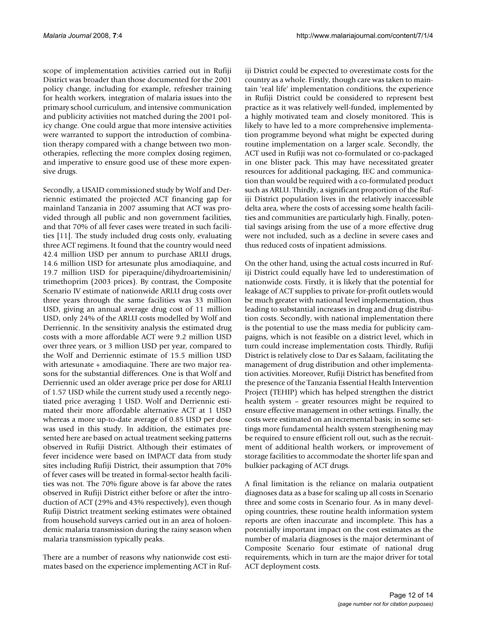scope of implementation activities carried out in Rufiji District was broader than those documented for the 2001 policy change, including for example, refresher training for health workers, integration of malaria issues into the primary school curriculum, and intensive communication and publicity activities not matched during the 2001 policy change. One could argue that more intensive activities were warranted to support the introduction of combination therapy compared with a change between two monotherapies, reflecting the more complex dosing regimen, and imperative to ensure good use of these more expensive drugs.

Secondly, a USAID commissioned study by Wolf and Derriennic estimated the projected ACT financing gap for mainland Tanzania in 2007 assuming that ACT was provided through all public and non government facilities, and that 70% of all fever cases were treated in such facilities [11]. The study included drug costs only, evaluating three ACT regimens. It found that the country would need 42.4 million USD per annum to purchase ARLU drugs, 14.6 million USD for artesunate plus amodiaquine, and 19.7 million USD for piperaquine/dihydroartemisinin/ trimethoprim (2003 prices). By contrast, the Composite Scenario IV estimate of nationwide ARLU drug costs over three years through the same facilities was 33 million USD, giving an annual average drug cost of 11 million USD, only 24% of the ARLU costs modelled by Wolf and Derriennic. In the sensitivity analysis the estimated drug costs with a more affordable ACT were 9.2 million USD over three years, or 3 million USD per year, compared to the Wolf and Derriennic estimate of 15.5 million USD with artesunate + amodiaquine. There are two major reasons for the substantial differences. One is that Wolf and Derriennic used an older average price per dose for ARLU of 1.57 USD while the current study used a recently negotiated price averaging 1 USD. Wolf and Derriennic estimated their more affordable alternative ACT at 1 USD whereas a more up-to-date average of 0.85 USD per dose was used in this study. In addition, the estimates presented here are based on actual treatment seeking patterns observed in Rufiji District. Although their estimates of fever incidence were based on IMPACT data from study sites including Rufiji District, their assumption that 70% of fever cases will be treated in formal-sector health facilities was not. The 70% figure above is far above the rates observed in Rufiji District either before or after the introduction of ACT (29% and 43% respectively), even though Rufiji District treatment seeking estimates were obtained from household surveys carried out in an area of holoendemic malaria transmission during the rainy season when malaria transmission typically peaks.

There are a number of reasons why nationwide cost estimates based on the experience implementing ACT in Rufiji District could be expected to overestimate costs for the country as a whole. Firstly, though care was taken to maintain 'real life' implementation conditions, the experience in Rufiji District could be considered to represent best practice as it was relatively well-funded, implemented by a highly motivated team and closely monitored. This is likely to have led to a more comprehensive implementation programme beyond what might be expected during routine implementation on a larger scale. Secondly, the ACT used in Rufiji was not co-formulated or co-packaged in one blister pack. This may have necessitated greater resources for additional packaging, IEC and communication than would be required with a co-formulated product such as ARLU. Thirdly, a significant proportion of the Rufiji District population lives in the relatively inaccessible delta area, where the costs of accessing some health facilities and communities are particularly high. Finally, potential savings arising from the use of a more effective drug were not included, such as a decline in severe cases and thus reduced costs of inpatient admissions.

On the other hand, using the actual costs incurred in Rufiji District could equally have led to underestimation of nationwide costs. Firstly, it is likely that the potential for leakage of ACT supplies to private for-profit outlets would be much greater with national level implementation, thus leading to substantial increases in drug and drug distribution costs. Secondly, with national implementation there is the potential to use the mass media for publicity campaigns, which is not feasible on a district level, which in turn could increase implementation costs. Thirdly, Rufiji District is relatively close to Dar es Salaam, facilitating the management of drug distribution and other implementation activities. Moreover, Rufiji District has benefited from the presence of the Tanzania Essential Health Intervention Project (TEHIP) which has helped strengthen the district health system – greater resources might be required to ensure effective management in other settings. Finally, the costs were estimated on an incremental basis; in some settings more fundamental health system strengthening may be required to ensure efficient roll out, such as the recruitment of additional health workers, or improvement of storage facilities to accommodate the shorter life span and bulkier packaging of ACT drugs.

A final limitation is the reliance on malaria outpatient diagnoses data as a base for scaling up all costs in Scenario three and some costs in Scenario four. As in many developing countries, these routine health information system reports are often inaccurate and incomplete. This has a potentially important impact on the cost estimates as the number of malaria diagnoses is the major determinant of Composite Scenario four estimate of national drug requirements, which in turn are the major driver for total ACT deployment costs.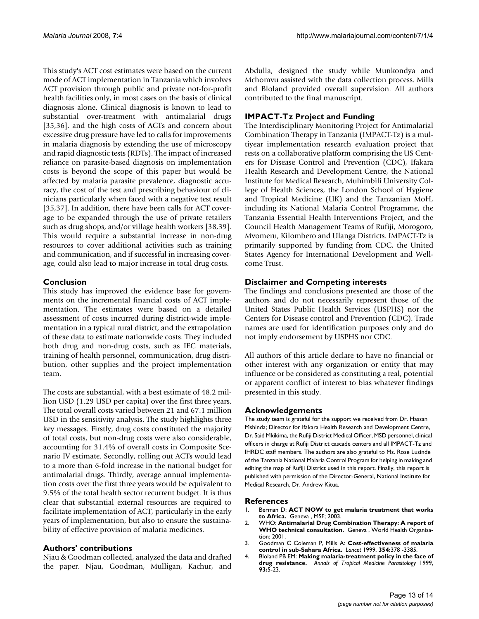This study's ACT cost estimates were based on the current mode of ACT implementation in Tanzania which involves ACT provision through public and private not-for-profit health facilities only, in most cases on the basis of clinical diagnosis alone. Clinical diagnosis is known to lead to substantial over-treatment with antimalarial drugs [35,36], and the high costs of ACTs and concern about excessive drug pressure have led to calls for improvements in malaria diagnosis by extending the use of microscopy and rapid diagnostic tests (RDTs). The impact of increased reliance on parasite-based diagnosis on implementation costs is beyond the scope of this paper but would be affected by malaria parasite prevalence, diagnostic accuracy, the cost of the test and prescribing behaviour of clinicians particularly when faced with a negative test result [35,37]. In addition, there have been calls for ACT coverage to be expanded through the use of private retailers such as drug shops, and/or village health workers [38,39]. This would require a substantial increase in non-drug resources to cover additional activities such as training and communication, and if successful in increasing coverage, could also lead to major increase in total drug costs.

# **Conclusion**

This study has improved the evidence base for governments on the incremental financial costs of ACT implementation. The estimates were based on a detailed assessment of costs incurred during district-wide implementation in a typical rural district, and the extrapolation of these data to estimate nationwide costs. They included both drug and non-drug costs, such as IEC materials, training of health personnel, communication, drug distribution, other supplies and the project implementation team.

The costs are substantial, with a best estimate of 48.2 million USD (1.29 USD per capita) over the first three years. The total overall costs varied between 21 and 67.1 million USD in the sensitivity analysis. The study highlights three key messages. Firstly, drug costs constituted the majority of total costs, but non-drug costs were also considerable, accounting for 31.4% of overall costs in Composite Scenario IV estimate. Secondly, rolling out ACTs would lead to a more than 6-fold increase in the national budget for antimalarial drugs. Thirdly, average annual implementation costs over the first three years would be equivalent to 9.5% of the total health sector recurrent budget. It is thus clear that substantial external resources are required to facilitate implementation of ACT, particularly in the early years of implementation, but also to ensure the sustainability of effective provision of malaria medicines.

# **Authors' contributions**

Njau & Goodman collected, analyzed the data and drafted the paper. Njau, Goodman, Mulligan, Kachur, and

Abdulla, designed the study while Munkondya and Mchomvu assisted with the data collection process. Mills and Bloland provided overall supervision. All authors contributed to the final manuscript.

# **IMPACT-Tz Project and Funding**

The Interdisciplinary Monitoring Project for Antimalarial Combination Therapy in Tanzania (IMPACT-Tz) is a multiyear implementation research evaluation project that rests on a collaborative platform comprising the US Centers for Disease Control and Prevention (CDC), Ifakara Health Research and Development Centre, the National Institute for Medical Research, Muhimbili University College of Health Sciences, the London School of Hygiene and Tropical Medicine (UK) and the Tanzanian MoH, including its National Malaria Control Programme, the Tanzania Essential Health Interventions Project, and the Council Health Management Teams of Rufiji, Morogoro, Mvomeru, Kilombero and Ulanga Districts. IMPACT-Tz is primarily supported by funding from CDC, the United States Agency for International Development and Wellcome Trust.

# **Disclaimer and Competing interests**

The findings and conclusions presented are those of the authors and do not necessarily represent those of the United States Public Health Services (USPHS) nor the Centers for Disease control and Prevention (CDC). Trade names are used for identification purposes only and do not imply endorsement by USPHS nor CDC.

All authors of this article declare to have no financial or other interest with any organization or entity that may influence or be considered as constituting a real, potential or apparent conflict of interest to bias whatever findings presented in this study.

# **Acknowledgements**

The study team is grateful for the support we received from Dr. Hassan Mshinda; Director for Ifakara Health Research and Development Centre, Dr. Said Mkikima, the Rufiji District Medical Officer, MSD personnel, clinical officers in charge at Rufiji District cascade centers and all IMPACT-Tz and IHRDC staff members. The authors are also grateful to Ms. Rose Lusinde of the Tanzania National Malaria Control Program for helping in making and editing the map of Rufiji District used in this report. Finally, this report is published with permission of the Director-General, National Institute for Medical Research, Dr. Andrew Kitua.

#### **References**

- 1. Berman D: **ACT NOW to get malaria treatment that works to Africa.** Geneva , MSF; 2003.
- 2. WHO: **Antimalarial Drug Combination Therapy: A report of WHO technical consultation.** Geneva , World Health Organisation; 2001.
- 3. Goodman C Coleman P, Mills A: **[Cost-effectiveness of malaria](http://www.ncbi.nlm.nih.gov/entrez/query.fcgi?cmd=Retrieve&db=PubMed&dopt=Abstract&list_uids=10437867) [control in sub-Sahara Africa.](http://www.ncbi.nlm.nih.gov/entrez/query.fcgi?cmd=Retrieve&db=PubMed&dopt=Abstract&list_uids=10437867)** *Lancet* 1999, **354:**378 -3385.
- 4. Bloland PB EM: **Making malaria-treatment policy in the face of drug resistance.** *Annals of Tropical Medicine Parasitology* 1999, **93:**5-23.